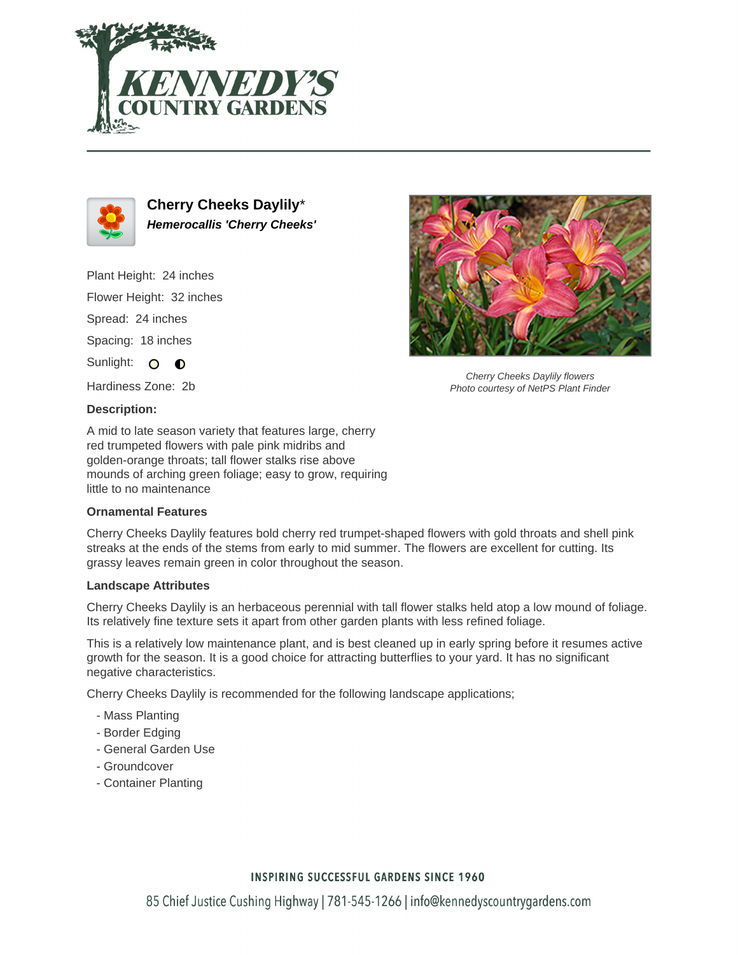



**Cherry Cheeks Daylily**\* **Hemerocallis 'Cherry Cheeks'**

Plant Height: 24 inches Flower Height: 32 inches Spread: 24 inches Spacing: 18 inches Sunlight: O  $\bullet$ 

Hardiness Zone: 2b

### **Description:**

A mid to late season variety that features large, cherry red trumpeted flowers with pale pink midribs and golden-orange throats; tall flower stalks rise above mounds of arching green foliage; easy to grow, requiring little to no maintenance

#### **Ornamental Features**

Cherry Cheeks Daylily features bold cherry red trumpet-shaped flowers with gold throats and shell pink streaks at the ends of the stems from early to mid summer. The flowers are excellent for cutting. Its grassy leaves remain green in color throughout the season.

#### **Landscape Attributes**

Cherry Cheeks Daylily is an herbaceous perennial with tall flower stalks held atop a low mound of foliage. Its relatively fine texture sets it apart from other garden plants with less refined foliage.

This is a relatively low maintenance plant, and is best cleaned up in early spring before it resumes active growth for the season. It is a good choice for attracting butterflies to your yard. It has no significant negative characteristics.

Cherry Cheeks Daylily is recommended for the following landscape applications;

- Mass Planting
- Border Edging
- General Garden Use
- Groundcover
- Container Planting



Cherry Cheeks Daylily flowers Photo courtesy of NetPS Plant Finder

## **INSPIRING SUCCESSFUL GARDENS SINCE 1960**